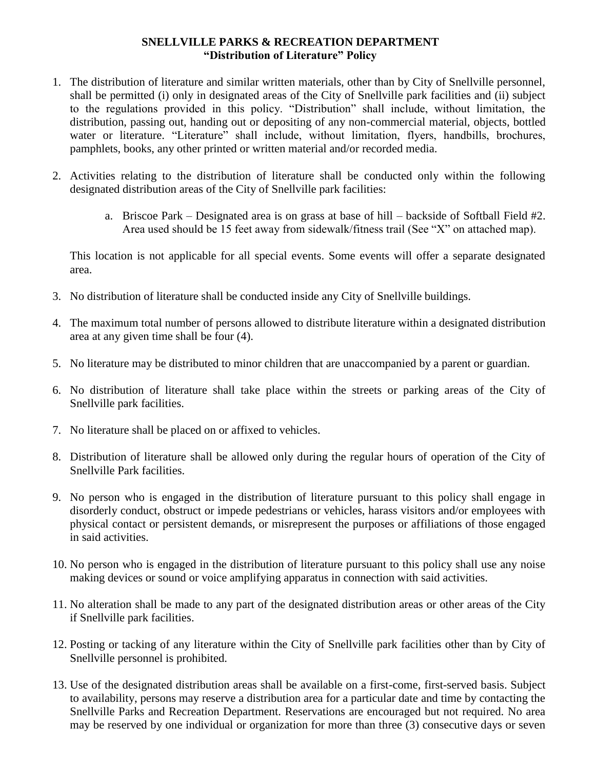## **SNELLVILLE PARKS & RECREATION DEPARTMENT "Distribution of Literature" Policy**

- 1. The distribution of literature and similar written materials, other than by City of Snellville personnel, shall be permitted (i) only in designated areas of the City of Snellville park facilities and (ii) subject to the regulations provided in this policy. "Distribution" shall include, without limitation, the distribution, passing out, handing out or depositing of any non-commercial material, objects, bottled water or literature. "Literature" shall include, without limitation, flyers, handbills, brochures, pamphlets, books, any other printed or written material and/or recorded media.
- 2. Activities relating to the distribution of literature shall be conducted only within the following designated distribution areas of the City of Snellville park facilities:
	- a. Briscoe Park Designated area is on grass at base of hill backside of Softball Field #2. Area used should be 15 feet away from sidewalk/fitness trail (See "X" on attached map).

This location is not applicable for all special events. Some events will offer a separate designated area.

- 3. No distribution of literature shall be conducted inside any City of Snellville buildings.
- 4. The maximum total number of persons allowed to distribute literature within a designated distribution area at any given time shall be four (4).
- 5. No literature may be distributed to minor children that are unaccompanied by a parent or guardian.
- 6. No distribution of literature shall take place within the streets or parking areas of the City of Snellville park facilities.
- 7. No literature shall be placed on or affixed to vehicles.
- 8. Distribution of literature shall be allowed only during the regular hours of operation of the City of Snellville Park facilities.
- 9. No person who is engaged in the distribution of literature pursuant to this policy shall engage in disorderly conduct, obstruct or impede pedestrians or vehicles, harass visitors and/or employees with physical contact or persistent demands, or misrepresent the purposes or affiliations of those engaged in said activities.
- 10. No person who is engaged in the distribution of literature pursuant to this policy shall use any noise making devices or sound or voice amplifying apparatus in connection with said activities.
- 11. No alteration shall be made to any part of the designated distribution areas or other areas of the City if Snellville park facilities.
- 12. Posting or tacking of any literature within the City of Snellville park facilities other than by City of Snellville personnel is prohibited.
- 13. Use of the designated distribution areas shall be available on a first-come, first-served basis. Subject to availability, persons may reserve a distribution area for a particular date and time by contacting the Snellville Parks and Recreation Department. Reservations are encouraged but not required. No area may be reserved by one individual or organization for more than three (3) consecutive days or seven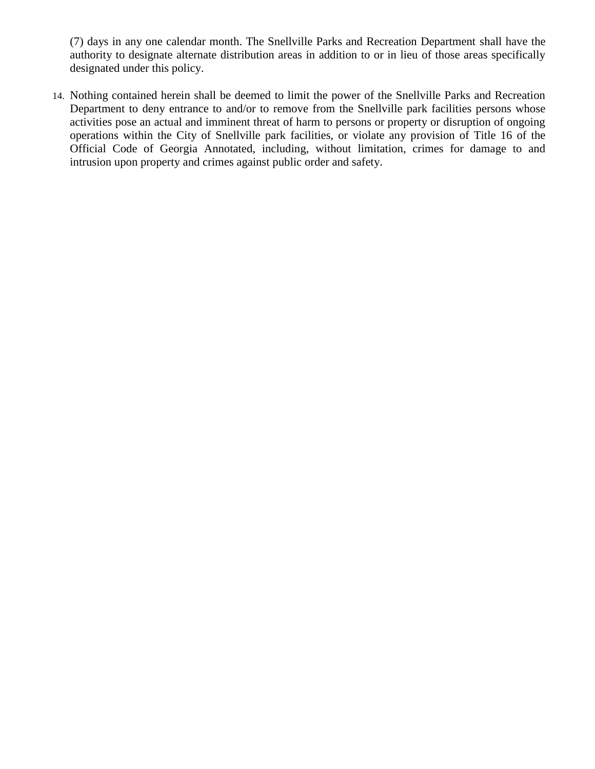(7) days in any one calendar month. The Snellville Parks and Recreation Department shall have the authority to designate alternate distribution areas in addition to or in lieu of those areas specifically designated under this policy.

14. Nothing contained herein shall be deemed to limit the power of the Snellville Parks and Recreation Department to deny entrance to and/or to remove from the Snellville park facilities persons whose activities pose an actual and imminent threat of harm to persons or property or disruption of ongoing operations within the City of Snellville park facilities, or violate any provision of Title 16 of the Official Code of Georgia Annotated, including, without limitation, crimes for damage to and intrusion upon property and crimes against public order and safety.